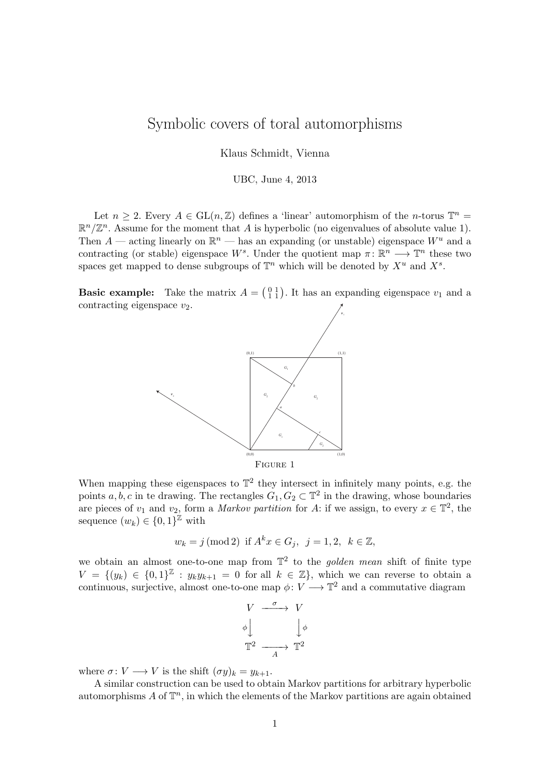## Symbolic covers of toral automorphisms

Klaus Schmidt, Vienna

UBC, June 4, 2013

Let  $n \geq 2$ . Every  $A \in GL(n, \mathbb{Z})$  defines a 'linear' automorphism of the *n*-torus  $\mathbb{T}^n =$  $\mathbb{R}^n/\mathbb{Z}^n$ . Assume for the moment that A is hyperbolic (no eigenvalues of absolute value 1). Then  $A$  — acting linearly on  $\mathbb{R}^n$  — has an expanding (or unstable) eigenspace  $W^u$  and a contracting (or stable) eigenspace W<sup>s</sup>. Under the quotient map  $\pi: \mathbb{R}^n \longrightarrow \mathbb{T}^n$  these two spaces get mapped to dense subgroups of  $\mathbb{T}^n$  which will be denoted by  $X^u$  and  $X^s$ .

**Basic example:** Take the matrix  $A = \begin{pmatrix} 0 & 1 \\ 1 & 1 \end{pmatrix}$ . It has an expanding eigenspace  $v_1$  and a contracting eigenspace  $v_2$ .



Figure 1

When mapping these eigenspaces to  $\mathbb{T}^2$  they intersect in infinitely many points, e.g. the points  $a, b, c$  in te drawing. The rectangles  $G_1, G_2 \subset \mathbb{T}^2$  in the drawing, whose boundaries are pieces of  $v_1$  and  $v_2$ , form a *Markov partition* for A: if we assign, to every  $x \in \mathbb{T}^2$ , the sequence  $(w_k) \in \{0,1\}^{\mathbb{Z}}$  with

$$
w_k = j \text{ (mod 2) if } A^k x \in G_j, \ \ j = 1, 2, \ \ k \in \mathbb{Z},
$$

we obtain an almost one-to-one map from  $\mathbb{T}^2$  to the *golden mean* shift of finite type  $V = \{(y_k) \in \{0,1\}^{\mathbb{Z}} : y_k y_{k+1} = 0 \text{ for all } k \in \mathbb{Z}\}\$ , which we can reverse to obtain a continuous, surjective, almost one-to-one map  $\phi: V \longrightarrow \mathbb{T}^2$  and a commutative diagram



where  $\sigma: V \longrightarrow V$  is the shift  $(\sigma y)_k = y_{k+1}$ .

A similar construction can be used to obtain Markov partitions for arbitrary hyperbolic automorphisms  $A$  of  $\mathbb{T}^n$ , in which the elements of the Markov partitions are again obtained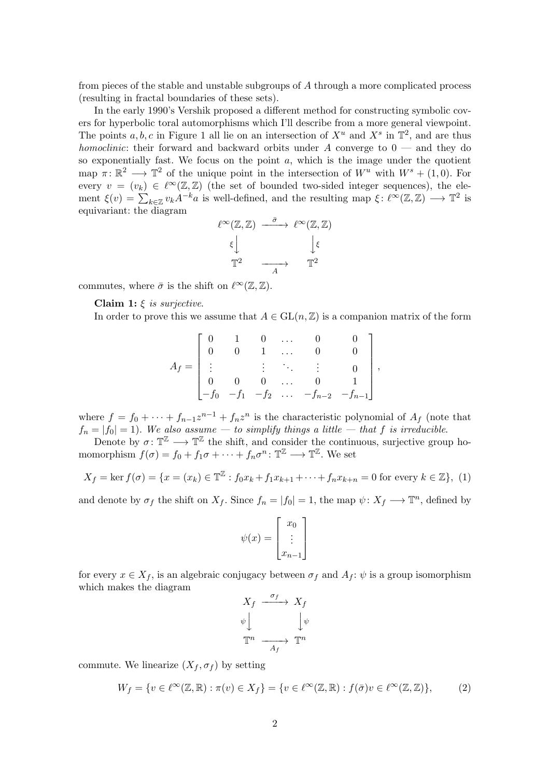from pieces of the stable and unstable subgroups of A through a more complicated process (resulting in fractal boundaries of these sets).

In the early 1990's Vershik proposed a different method for constructing symbolic covers for hyperbolic toral automorphisms which I'll describe from a more general viewpoint. The points  $a, b, c$  in Figure 1 all lie on an intersection of  $X^u$  and  $X^s$  in  $\mathbb{T}^2$ , and are thus homoclinic: their forward and backward orbits under A converge to  $0$  — and they do so exponentially fast. We focus on the point  $a$ , which is the image under the quotient map  $\pi: \mathbb{R}^2 \longrightarrow \mathbb{T}^2$  of the unique point in the intersection of  $W^u$  with  $W^s + (1,0)$ . For every  $v = (v_k) \in \ell^{\infty}(\mathbb{Z}, \mathbb{Z})$  (the set of bounded two-sided integer sequences), the element  $\xi(v) = \sum_{k \in \mathbb{Z}} v_k A^{-k} a$  is well-defined, and the resulting map  $\xi \colon \ell^{\infty}(\mathbb{Z}, \mathbb{Z}) \longrightarrow \mathbb{T}^2$  is equivariant: the diagram

$$
\ell^{\infty}(\mathbb{Z}, \mathbb{Z}) \xrightarrow{\bar{\sigma}} \ell^{\infty}(\mathbb{Z}, \mathbb{Z})
$$

$$
\xi \downarrow \qquad \qquad \downarrow \xi
$$

$$
\mathbb{T}^2 \xrightarrow{A} \mathbb{T}^2
$$

commutes, where  $\bar{\sigma}$  is the shift on  $\ell^{\infty}(\mathbb{Z}, \mathbb{Z})$ .

Claim 1:  $\xi$  is surjective.

In order to prove this we assume that  $A \in GL(n, \mathbb{Z})$  is a companion matrix of the form

$$
A_f = \begin{bmatrix} 0 & 1 & 0 & \dots & 0 & 0 \\ 0 & 0 & 1 & \dots & 0 & 0 \\ \vdots & & \vdots & \ddots & \vdots & 0 \\ 0 & 0 & 0 & \dots & 0 & 1 \\ -f_0 & -f_1 & -f_2 & \dots & -f_{n-2} & -f_{n-1} \end{bmatrix},
$$

where  $f = f_0 + \cdots + f_{n-1}z^{n-1} + f_nz^n$  is the characteristic polynomial of  $A_f$  (note that  $f_n = |f_0| = 1$ . We also assume  $-$  to simplify things a little  $-$  that f is irreducible.

Denote by  $\sigma: \mathbb{T}^{\mathbb{Z}} \longrightarrow \mathbb{T}^{\mathbb{Z}}$  the shift, and consider the continuous, surjective group homomorphism  $f(\sigma) = f_0 + f_1 \sigma + \cdots + f_n \sigma^n : \mathbb{T}^{\mathbb{Z}} \longrightarrow \mathbb{T}^{\mathbb{Z}}$ . We set

<span id="page-1-0"></span>
$$
X_f = \ker f(\sigma) = \{ x = (x_k) \in \mathbb{T}^{\mathbb{Z}} : f_0 x_k + f_1 x_{k+1} + \dots + f_n x_{k+n} = 0 \text{ for every } k \in \mathbb{Z} \}, (1)
$$

and denote by  $\sigma_f$  the shift on  $X_f$ . Since  $f_n = |f_0| = 1$ , the map  $\psi \colon X_f \longrightarrow \mathbb{T}^n$ , defined by

$$
\psi(x) = \begin{bmatrix} x_0 \\ \vdots \\ x_{n-1} \end{bmatrix}
$$

for every  $x \in X_f$ , is an algebraic conjugacy between  $\sigma_f$  and  $A_f$ :  $\psi$  is a group isomorphism which makes the diagram

$$
X_f \xrightarrow{\sigma_f} X_f
$$
  

$$
\psi \downarrow \qquad \qquad \downarrow \psi
$$
  

$$
\mathbb{T}^n \xrightarrow{A_f} \mathbb{T}^n
$$

commute. We linearize  $(X_f, \sigma_f)$  by setting

$$
W_f = \{ v \in \ell^{\infty}(\mathbb{Z}, \mathbb{R}) : \pi(v) \in X_f \} = \{ v \in \ell^{\infty}(\mathbb{Z}, \mathbb{R}) : f(\bar{\sigma})v \in \ell^{\infty}(\mathbb{Z}, \mathbb{Z}) \},\tag{2}
$$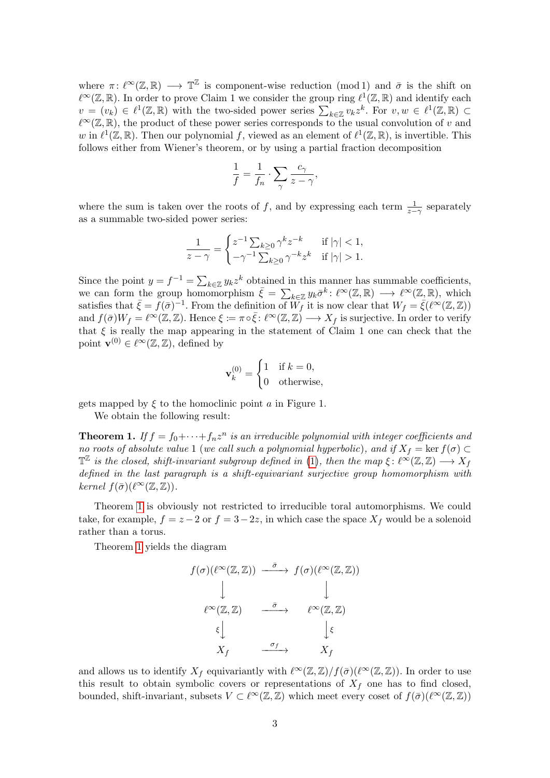where  $\pi: \ell^{\infty}(\mathbb{Z}, \mathbb{R}) \longrightarrow \mathbb{T}^{\mathbb{Z}}$  is component-wise reduction (mod 1) and  $\bar{\sigma}$  is the shift on  $\ell^{\infty}(\mathbb{Z}, \mathbb{R})$ . In order to prove Claim 1 we consider the group ring  $\ell^{1}(\mathbb{Z}, \mathbb{R})$  and identify each  $v = (v_k) \in \ell^1(\mathbb{Z}, \mathbb{R})$  with the two-sided power series  $\sum_{k \in \mathbb{Z}} v_k z^k$ . For  $v, w \in \ell^1(\mathbb{Z}, \mathbb{R}) \subset$  $\ell^{\infty}(\mathbb{Z}, \mathbb{R})$ , the product of these power series corresponds to the usual convolution of v and w in  $\ell^1(\mathbb{Z}, \mathbb{R})$ . Then our polynomial f, viewed as an element of  $\ell^1(\mathbb{Z}, \mathbb{R})$ , is invertible. This follows either from Wiener's theorem, or by using a partial fraction decomposition

$$
\frac{1}{f} = \frac{1}{f_n} \cdot \sum_{\gamma} \frac{c_{\gamma}}{z - \gamma},
$$

where the sum is taken over the roots of f, and by expressing each term  $\frac{1}{z-\gamma}$  separately as a summable two-sided power series:

$$
\frac{1}{z-\gamma} = \begin{cases} z^{-1} \sum_{k\geq 0} \gamma^k z^{-k} & \text{if } |\gamma| < 1, \\ -\gamma^{-1} \sum_{k\geq 0} \gamma^{-k} z^k & \text{if } |\gamma| > 1. \end{cases}
$$

Since the point  $y = f^{-1} = \sum_{k \in \mathbb{Z}} y_k z^k$  obtained in this manner has summable coefficients, we can form the group homomorphism  $\bar{\xi} = \sum_{k \in \mathbb{Z}} y_k \bar{\sigma}^k : \ell^{\infty}(\mathbb{Z}, \mathbb{R}) \longrightarrow \ell^{\infty}(\mathbb{Z}, \mathbb{R}),$  which satisfies that  $\bar{\xi} = f(\bar{\sigma})^{-1}$ . From the definition of  $W_f$  it is now clear that  $W_f = \bar{\xi}(\ell^{\infty}(\mathbb{Z}, \mathbb{Z}))$ and  $f(\bar{\sigma})W_f = \ell^{\infty}(\mathbb{Z}, \mathbb{Z})$ . Hence  $\xi := \pi \circ \bar{\xi} : \ell^{\infty}(\mathbb{Z}, \mathbb{Z}) \longrightarrow X_f$  is surjective. In order to verify that  $\xi$  is really the map appearing in the statement of Claim 1 one can check that the point  $\mathbf{v}^{(0)} \in \ell^{\infty}(\mathbb{Z}, \mathbb{Z})$ , defined by

$$
\mathbf{v}_k^{(0)} = \begin{cases} 1 & \text{if } k = 0, \\ 0 & \text{otherwise,} \end{cases}
$$

gets mapped by  $\xi$  to the homoclinic point a in Figure 1.

We obtain the following result:

<span id="page-2-0"></span>**Theorem 1.** If  $f = f_0 + \cdots + f_n z^n$  is an irreducible polynomial with integer coefficients and no roots of absolute value 1 (we call such a polynomial hyperbolic), and if  $X_f = \ker f(\sigma) \subset$  $\mathbb{T}^{\mathbb{Z}}$  is the closed, shift-invariant subgroup defined in [\(1\)](#page-1-0), then the map  $\xi: \ell^{\infty}(\mathbb{Z}, \mathbb{Z}) \longrightarrow X_f$ defined in the last paragraph is a shift-equivariant surjective group homomorphism with kernel  $f(\bar{\sigma})$ ( $\ell^{\infty}(\mathbb{Z}, \mathbb{Z})$ ).

Theorem [1](#page-2-0) is obviously not restricted to irreducible toral automorphisms. We could take, for example,  $f = z - 2$  or  $f = 3 - 2z$ , in which case the space  $X_f$  would be a solenoid rather than a torus.

Theorem [1](#page-2-0) yields the diagram

$$
f(\sigma)(\ell^{\infty}(\mathbb{Z}, \mathbb{Z})) \xrightarrow{\bar{\sigma}} f(\sigma)(\ell^{\infty}(\mathbb{Z}, \mathbb{Z}))
$$
  

$$
\downarrow \qquad \qquad \downarrow
$$
  

$$
\ell^{\infty}(\mathbb{Z}, \mathbb{Z}) \xrightarrow{\bar{\sigma}} \ell^{\infty}(\mathbb{Z}, \mathbb{Z})
$$
  

$$
\xi \downarrow \qquad \qquad \downarrow \xi
$$
  

$$
X_f \xrightarrow{\sigma_f} X_f
$$

and allows us to identify  $X_f$  equivariantly with  $\ell^{\infty}(\mathbb{Z}, \mathbb{Z})/f(\bar{\sigma})(\ell^{\infty}(\mathbb{Z}, \mathbb{Z}))$ . In order to use this result to obtain symbolic covers or representations of  $X_f$  one has to find closed, bounded, shift-invariant, subsets  $V \subset \ell^{\infty}(\mathbb{Z}, \mathbb{Z})$  which meet every coset of  $f(\bar{\sigma})(\ell^{\infty}(\mathbb{Z}, \mathbb{Z}))$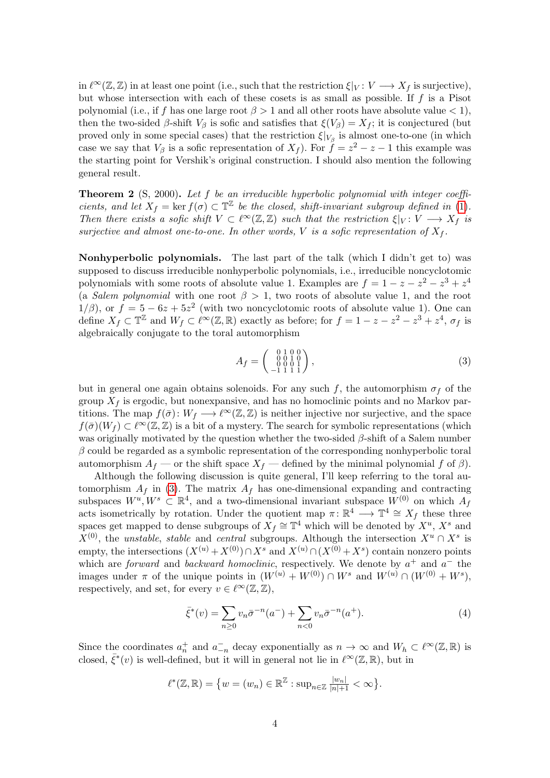in  $\ell^{\infty}(\mathbb{Z}, \mathbb{Z})$  in at least one point (i.e., such that the restriction  $\xi|_V : V \longrightarrow X_f$  is surjective), but whose intersection with each of these cosets is as small as possible. If f is a Pisot polynomial (i.e., if f has one large root  $\beta > 1$  and all other roots have absolute value  $\lt 1$ ), then the two-sided  $\beta$ -shift  $V_{\beta}$  is sofic and satisfies that  $\xi(V_{\beta}) = X_f$ ; it is conjectured (but proved only in some special cases) that the restriction  $\xi|_{V_\beta}$  is almost one-to-one (in which case we say that  $V_\beta$  is a sofic representation of  $X_f$ ). For  $f = z^2 - z - 1$  this example was the starting point for Vershik's original construction. I should also mention the following general result.

**Theorem 2** (S, 2000). Let  $f$  be an irreducible hyperbolic polynomial with integer coefficients, and let  $X_f = \ker f(\sigma) \subset \mathbb{T}^{\mathbb{Z}}$  be the closed, shift-invariant subgroup defined in [\(1\)](#page-1-0). Then there exists a sofic shift  $V \subset \ell^{\infty}(\mathbb{Z}, \mathbb{Z})$  such that the restriction  $\xi|_V : V \longrightarrow X_f$  is surjective and almost one-to-one. In other words, V is a sofic representation of  $X_f$ .

Nonhyperbolic polynomials. The last part of the talk (which I didn't get to) was supposed to discuss irreducible nonhyperbolic polynomials, i.e., irreducible noncyclotomic polynomials with some roots of absolute value 1. Examples are  $f = 1 - z - z^2 - z^3 + z^4$ (a Salem polynomial with one root  $\beta > 1$ , two roots of absolute value 1, and the root  $1/\beta$ , or  $f = 5 - 6z + 5z^2$  (with two noncyclotomic roots of absolute value 1). One can define  $X_f \subset \mathbb{T}^{\mathbb{Z}}$  and  $W_f \subset \ell^{\infty}(\mathbb{Z}, \mathbb{R})$  exactly as before; for  $f = 1 - z - z^2 - z^3 + z^4$ ,  $\sigma_f$  is algebraically conjugate to the toral automorphism

<span id="page-3-0"></span>
$$
A_f = \begin{pmatrix} 0 & 1 & 0 & 0 \\ 0 & 0 & 1 & 0 \\ -1 & 1 & 1 & 1 \end{pmatrix},\tag{3}
$$

but in general one again obtains solenoids. For any such f, the automorphism  $\sigma_f$  of the group  $X_f$  is ergodic, but nonexpansive, and has no homoclinic points and no Markov partitions. The map  $f(\bar{\sigma})$ :  $W_f \longrightarrow \ell^{\infty}(\mathbb{Z}, \mathbb{Z})$  is neither injective nor surjective, and the space  $f(\bar{\sigma})(W_f) \subset \ell^{\infty}(\mathbb{Z}, \mathbb{Z})$  is a bit of a mystery. The search for symbolic representations (which was originally motivated by the question whether the two-sided  $\beta$ -shift of a Salem number  $\beta$  could be regarded as a symbolic representation of the corresponding nonhyperbolic toral automorphism  $A_f$  — or the shift space  $X_f$  — defined by the minimal polynomial f of  $\beta$ ).

Although the following discussion is quite general, I'll keep referring to the toral automorphism  $A_f$  in [\(3\)](#page-3-0). The matrix  $A_f$  has one-dimensional expanding and contracting subspaces  $W^u, W^s \subset \mathbb{R}^4$ , and a two-dimensional invariant subspace  $W^{(0)}$  on which  $A_f$ acts isometrically by rotation. Under the quotient map  $\pi: \mathbb{R}^4 \longrightarrow \mathbb{T}^4 \cong X_f$  these three spaces get mapped to dense subgroups of  $X_f \cong \mathbb{T}^4$  which will be denoted by  $X^u$ ,  $X^s$  and  $X^{(0)}$ , the unstable, stable and central subgroups. Although the intersection  $X^u \cap X^s$  is empty, the intersections  $(X^{(u)} + X^{(0)}) \cap X^s$  and  $X^{(u)} \cap (X^{(0)} + X^s)$  contain nonzero points which are *forward* and *backward homoclinic*, respectively. We denote by  $a^+$  and  $a^-$  the images under  $\pi$  of the unique points in  $(W^{(u)} + W^{(0)}) \cap W^s$  and  $W^{(u)} \cap (W^{(0)} + W^s)$ , respectively, and set, for every  $v \in \ell^{\infty}(\mathbb{Z}, \mathbb{Z}),$ 

$$
\bar{\xi}^*(v) = \sum_{n\geq 0} v_n \bar{\sigma}^{-n}(a^-) + \sum_{n<0} v_n \bar{\sigma}^{-n}(a^+). \tag{4}
$$

Since the coordinates  $a_n^+$  and  $a_{-n}^-$  decay exponentially as  $n \to \infty$  and  $W_h \subset \ell^{\infty}(\mathbb{Z}, \mathbb{R})$  is closed,  $\bar{\xi}^*(v)$  is well-defined, but it will in general not lie in  $\ell^{\infty}(\mathbb{Z}, \mathbb{R})$ , but in

$$
\ell^*(\mathbb{Z}, \mathbb{R}) = \big\{ w = (w_n) \in \mathbb{R}^{\mathbb{Z}} : \sup_{n \in \mathbb{Z}} \frac{|w_n|}{|n|+1} < \infty \big\}.
$$